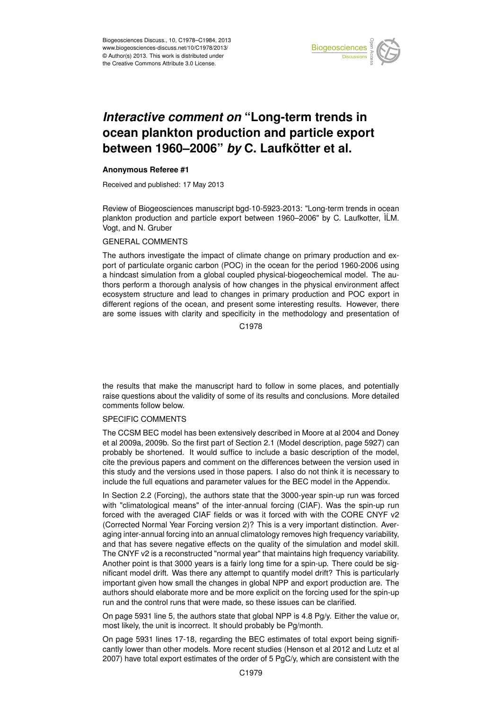

#### Earth System ocean plankton production and particle export '<br>ti  $\mathbf 1$ *Interactive comment on* "Long-term trends in between 1960–2006" *by* C. Laufkötter et al.

# **Anonymous Referee #1**

Received and published: 17 May 2013

Review of Biogeosciences manuscript bgd-10-5923-2013: "Long-term trends in ocean plankton production and particle export between 1960–2006" by C. Laufkotter, ILM. g<br>t ir<br>:t Vogt, and N. Gruber

#### Hydrology and GENERAL COMMENTS

The authors investigate the impact of climate change on primary production and export of particulate organic carbon (POC) in the ocean for the period 1960-2006 using ii<br>O ו<br>O a hindcast simulation from a global coupled physical-biogeochemical model. The auecosystem structure and lead to changes in primary production and POC export in ov<br>JE<br>SE er<br>e: different regions of the ocean, and present some interesting results. However, there thors perform a thorough analysis of how changes in the physical environment affect are some issues with clarity and specificity in the methodology and presentation of

C<br>C C1978

o<br>D Open Access the results that make the manuscript hard to follow in some places, and potentially raise questions about the validity of some of its results and conclusions. More detailed comments follow below.

# SPECIFIC COMMENTS

The CCSM BEC model has been extensively described in Moore at al 2004 and Doney et al 2009a, 2009b. So the first part of Section 2.1 (Model description, page 5927) can probably be shortened. It would suffice to include a basic description of the model, cite the previous papers and comment on the differences between the version used in this study and the versions used in those papers. I also do not think it is necessary to include the full equations and parameter values for the BEC model in the Appendix.

In Section 2.2 (Forcing), the authors state that the 3000-year spin-up run was forced with "climatological means" of the inter-annual forcing (CIAF). Was the spin-up run forced with the averaged CIAF fields or was it forced with with the CORE CNYF v2 (Corrected Normal Year Forcing version 2)? This is a very important distinction. Averaging inter-annual forcing into an annual climatology removes high frequency variability, and that has severe negative effects on the quality of the simulation and model skill. The CNYF v2 is a reconstructed "normal year" that maintains high frequency variability. Another point is that 3000 years is a fairly long time for a spin-up. There could be significant model drift. Was there any attempt to quantify model drift? This is particularly important given how small the changes in global NPP and export production are. The authors should elaborate more and be more explicit on the forcing used for the spin-up run and the control runs that were made, so these issues can be clarified.

On page 5931 line 5, the authors state that global NPP is 4.8 Pg/y. Either the value or, most likely, the unit is incorrect. It should probably be Pg/month.

On page 5931 lines 17-18, regarding the BEC estimates of total export being significantly lower than other models. More recent studies (Henson et al 2012 and Lutz et al 2007) have total export estimates of the order of 5 PgC/y, which are consistent with the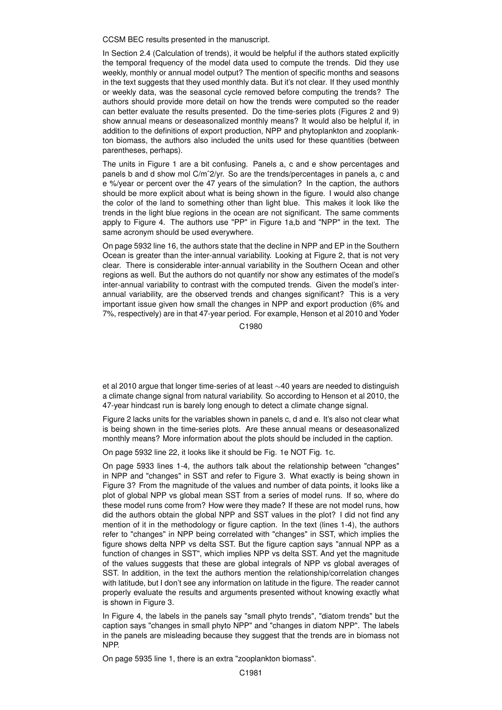CCSM BEC results presented in the manuscript.

In Section 2.4 (Calculation of trends), it would be helpful if the authors stated explicitly the temporal frequency of the model data used to compute the trends. Did they use weekly, monthly or annual model output? The mention of specific months and seasons in the text suggests that they used monthly data. But it's not clear. If they used monthly or weekly data, was the seasonal cycle removed before computing the trends? The authors should provide more detail on how the trends were computed so the reader can better evaluate the results presented. Do the time-series plots (Figures 2 and 9) show annual means or deseasonalized monthly means? It would also be helpful if, in addition to the definitions of export production, NPP and phytoplankton and zooplankton biomass, the authors also included the units used for these quantities (between parentheses, perhaps).

The units in Figure 1 are a bit confusing. Panels a, c and e show percentages and panels b and d show mol C/mˆ2/yr. So are the trends/percentages in panels a, c and e %/year or percent over the 47 years of the simulation? In the caption, the authors should be more explicit about what is being shown in the figure. I would also change the color of the land to something other than light blue. This makes it look like the trends in the light blue regions in the ocean are not significant. The same comments apply to Figure 4. The authors use "PP" in Figure 1a,b and "NPP" in the text. The same acronym should be used everywhere.

On page 5932 line 16, the authors state that the decline in NPP and EP in the Southern Ocean is greater than the inter-annual variability. Looking at Figure 2, that is not very clear. There is considerable inter-annual variability in the Southern Ocean and other regions as well. But the authors do not quantify nor show any estimates of the model's inter-annual variability to contrast with the computed trends. Given the model's interannual variability, are the observed trends and changes significant? This is a very important issue given how small the changes in NPP and export production (6% and 7%, respectively) are in that 47-year period. For example, Henson et al 2010 and Yoder

C1980

et al 2010 argue that longer time-series of at least ∼40 years are needed to distinguish a climate change signal from natural variability. So according to Henson et al 2010, the 47-year hindcast run is barely long enough to detect a climate change signal.

Figure 2 lacks units for the variables shown in panels c, d and e. It's also not clear what is being shown in the time-series plots. Are these annual means or deseasonalized monthly means? More information about the plots should be included in the caption.

On page 5932 line 22, it looks like it should be Fig. 1e NOT Fig. 1c.

On page 5933 lines 1-4, the authors talk about the relationship between "changes" in NPP and "changes" in SST and refer to Figure 3. What exactly is being shown in Figure 3? From the magnitude of the values and number of data points, it looks like a plot of global NPP vs global mean SST from a series of model runs. If so, where do these model runs come from? How were they made? If these are not model runs, how did the authors obtain the global NPP and SST values in the plot? I did not find any mention of it in the methodology or figure caption. In the text (lines 1-4), the authors refer to "changes" in NPP being correlated with "changes" in SST, which implies the figure shows delta NPP vs delta SST. But the figure caption says "annual NPP as a function of changes in SST", which implies NPP vs delta SST. And yet the magnitude of the values suggests that these are global integrals of NPP vs global averages of SST. In addition, in the text the authors mention the relationship/correlation changes with latitude, but I don't see any information on latitude in the figure. The reader cannot properly evaluate the results and arguments presented without knowing exactly what is shown in Figure 3.

In Figure 4, the labels in the panels say "small phyto trends", "diatom trends" but the caption says "changes in small phyto NPP" and "changes in diatom NPP". The labels in the panels are misleading because they suggest that the trends are in biomass not NPP.

On page 5935 line 1, there is an extra "zooplankton biomass".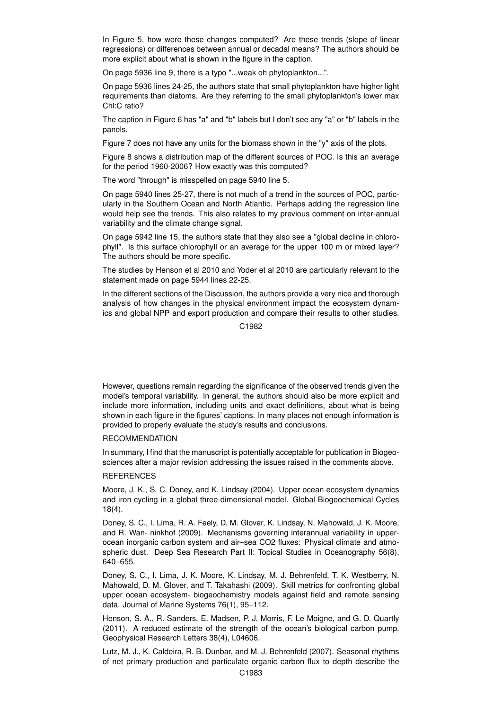In Figure 5, how were these changes computed? Are these trends (slope of linear regressions) or differences between annual or decadal means? The authors should be more explicit about what is shown in the figure in the caption.

On page 5936 line 9, there is a typo "...weak oh phytoplankton...".

On page 5936 lines 24-25, the authors state that small phytoplankton have higher light requirements than diatoms. Are they referring to the small phytoplankton's lower max Chl:C ratio?

The caption in Figure 6 has "a" and "b" labels but I don't see any "a" or "b" labels in the panels.

Figure 7 does not have any units for the biomass shown in the "y" axis of the plots.

Figure 8 shows a distribution map of the different sources of POC. Is this an average for the period 1960-2006? How exactly was this computed?

The word "through" is misspelled on page 5940 line 5.

On page 5940 lines 25-27, there is not much of a trend in the sources of POC, particularly in the Southern Ocean and North Atlantic. Perhaps adding the regression line would help see the trends. This also relates to my previous comment on inter-annual variability and the climate change signal.

On page 5942 line 15, the authors state that they also see a "global decline in chlorophyll". Is this surface chlorophyll or an average for the upper 100 m or mixed layer? The authors should be more specific.

The studies by Henson et al 2010 and Yoder et al 2010 are particularly relevant to the statement made on page 5944 lines 22-25.

In the different sections of the Discussion, the authors provide a very nice and thorough analysis of how changes in the physical environment impact the ecosystem dynamics and global NPP and export production and compare their results to other studies.

C<sub>1982</sub>

However, questions remain regarding the significance of the observed trends given the model's temporal variability. In general, the authors should also be more explicit and include more information, including units and exact definitions, about what is being shown in each figure in the figures' captions. In many places not enough information is provided to properly evaluate the study's results and conclusions.

#### RECOMMENDATION

In summary, I find that the manuscript is potentially acceptable for publication in Biogeosciences after a major revision addressing the issues raised in the comments above.

## **REFERENCES**

Moore, J. K., S. C. Doney, and K. Lindsay (2004). Upper ocean ecosystem dynamics and iron cycling in a global three-dimensional model. Global Biogeochemical Cycles 18(4).

Doney, S. C., I. Lima, R. A. Feely, D. M. Glover, K. Lindsay, N. Mahowald, J. K. Moore, and R. Wan- ninkhof (2009). Mechanisms governing interannual variability in upperocean inorganic carbon system and air–sea CO2 fluxes: Physical climate and atmospheric dust. Deep Sea Research Part II: Topical Studies in Oceanography 56(8), 640–655.

Doney, S. C., I. Lima, J. K. Moore, K. Lindsay, M. J. Behrenfeld, T. K. Westberry, N. Mahowald, D. M. Glover, and T. Takahashi (2009). Skill metrics for confronting global upper ocean ecosystem- biogeochemistry models against field and remote sensing data. Journal of Marine Systems 76(1), 95–112.

Henson, S. A., R. Sanders, E. Madsen, P. J. Morris, F. Le Moigne, and G. D. Quartly (2011). A reduced estimate of the strength of the ocean's biological carbon pump. Geophysical Research Letters 38(4), L04606.

Lutz, M. J., K. Caldeira, R. B. Dunbar, and M. J. Behrenfeld (2007). Seasonal rhythms of net primary production and particulate organic carbon flux to depth describe the